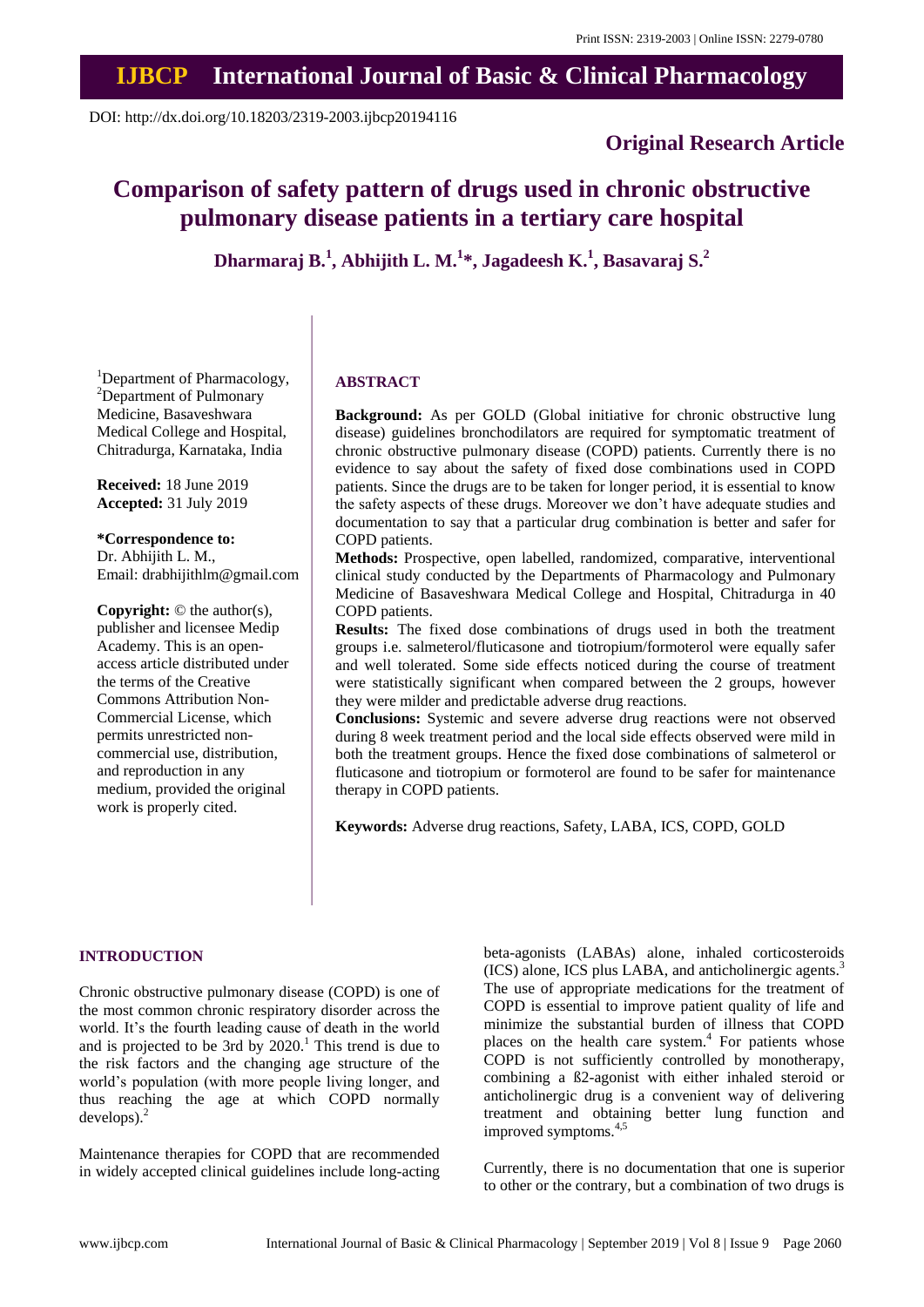## **IJBCP International Journal of Basic & Clinical Pharmacology**

DOI: http://dx.doi.org/10.18203/2319-2003.ijbcp20194116

## **Original Research Article**

# **Comparison of safety pattern of drugs used in chronic obstructive pulmonary disease patients in a tertiary care hospital**

**Dharmaraj B.<sup>1</sup> , Abhijith L. M.<sup>1</sup> \*, Jagadeesh K.<sup>1</sup> , Basavaraj S.<sup>2</sup>**

<sup>1</sup>Department of Pharmacology, <sup>2</sup>Department of Pulmonary Medicine, Basaveshwara Medical College and Hospital, Chitradurga, Karnataka, India

**Received:** 18 June 2019 **Accepted:** 31 July 2019

**\*Correspondence to:** Dr. Abhijith L. M., Email: drabhijithlm@gmail.com

**Copyright:** © the author(s), publisher and licensee Medip Academy. This is an openaccess article distributed under the terms of the Creative Commons Attribution Non-Commercial License, which permits unrestricted noncommercial use, distribution, and reproduction in any medium, provided the original work is properly cited.

#### **ABSTRACT**

**Background:** As per GOLD (Global initiative for chronic obstructive lung disease) guidelines bronchodilators are required for symptomatic treatment of chronic obstructive pulmonary disease (COPD) patients. Currently there is no evidence to say about the safety of fixed dose combinations used in COPD patients. Since the drugs are to be taken for longer period, it is essential to know the safety aspects of these drugs. Moreover we don't have adequate studies and documentation to say that a particular drug combination is better and safer for COPD patients.

**Methods:** Prospective, open labelled, randomized, comparative, interventional clinical study conducted by the Departments of Pharmacology and Pulmonary Medicine of Basaveshwara Medical College and Hospital, Chitradurga in 40 COPD patients.

**Results:** The fixed dose combinations of drugs used in both the treatment groups i.e. salmeterol/fluticasone and tiotropium/formoterol were equally safer and well tolerated. Some side effects noticed during the course of treatment were statistically significant when compared between the 2 groups, however they were milder and predictable adverse drug reactions.

**Conclusions:** Systemic and severe adverse drug reactions were not observed during 8 week treatment period and the local side effects observed were mild in both the treatment groups. Hence the fixed dose combinations of salmeterol or fluticasone and tiotropium or formoterol are found to be safer for maintenance therapy in COPD patients.

**Keywords:** Adverse drug reactions, Safety, LABA, ICS, COPD, GOLD

#### **INTRODUCTION**

Chronic obstructive pulmonary disease (COPD) is one of the most common chronic respiratory disorder across the world. It's the fourth leading cause of death in the world and is projected to be 3rd by  $2020<sup>1</sup>$ . This trend is due to the risk factors and the changing age structure of the world's population (with more people living longer, and thus reaching the age at which COPD normally  $develops$ ).<sup>2</sup>

Maintenance therapies for COPD that are recommended in widely accepted clinical guidelines include long-acting beta-agonists (LABAs) alone, inhaled corticosteroids (ICS) alone, ICS plus LABA, and anticholinergic agents.<sup>3</sup> The use of appropriate medications for the treatment of COPD is essential to improve patient quality of life and minimize the substantial burden of illness that COPD places on the health care system.<sup>4</sup> For patients whose COPD is not sufficiently controlled by monotherapy, combining a ß2-agonist with either inhaled steroid or anticholinergic drug is a convenient way of delivering treatment and obtaining better lung function and improved symptoms.<sup>4,5</sup>

Currently, there is no documentation that one is superior to other or the contrary, but a combination of two drugs is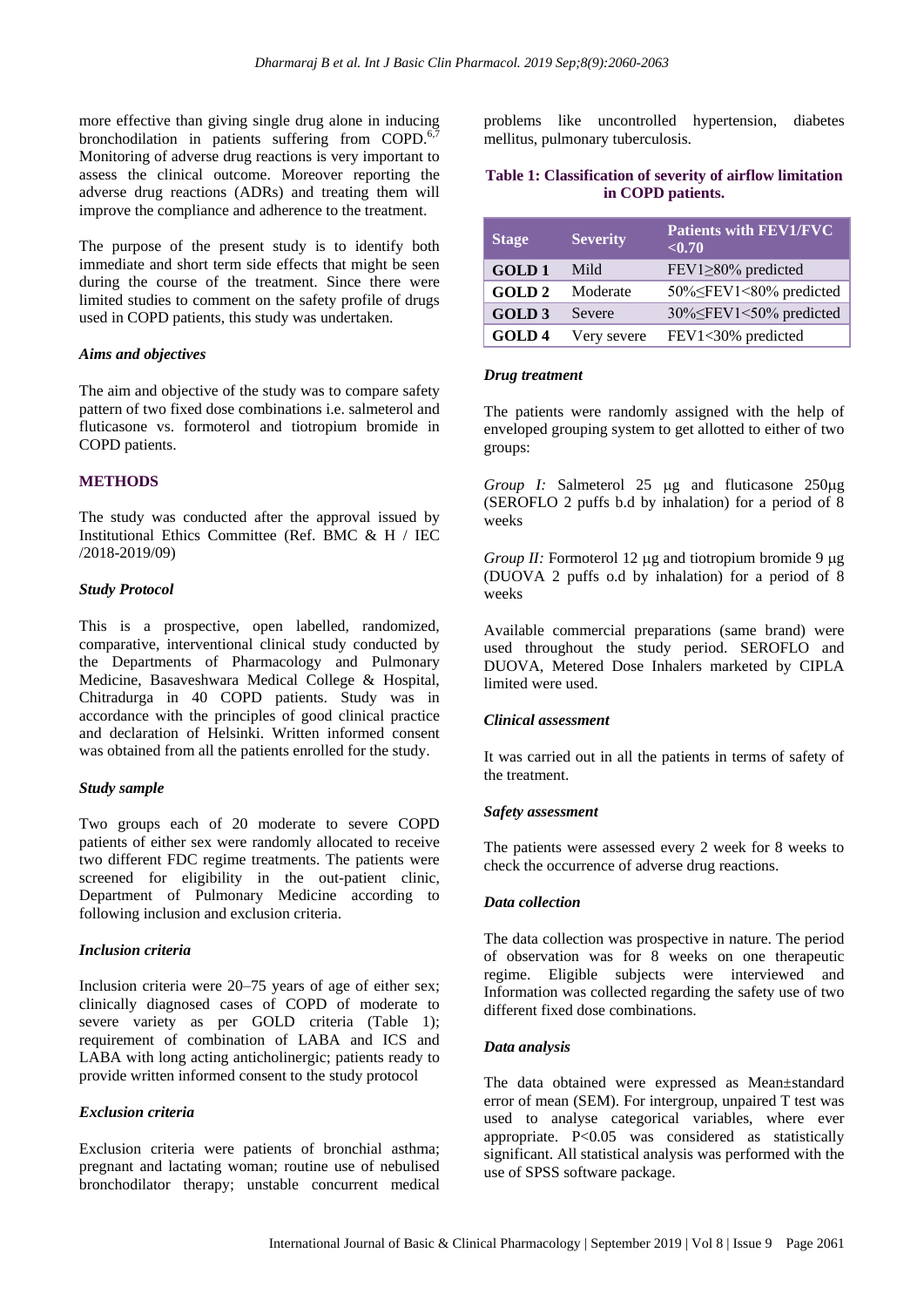more effective than giving single drug alone in inducing bronchodilation in patients suffering from COPD.<sup>6,</sup> Monitoring of adverse drug reactions is very important to assess the clinical outcome. Moreover reporting the adverse drug reactions (ADRs) and treating them will improve the compliance and adherence to the treatment.

The purpose of the present study is to identify both immediate and short term side effects that might be seen during the course of the treatment. Since there were limited studies to comment on the safety profile of drugs used in COPD patients, this study was undertaken.

#### *Aims and objectives*

The aim and objective of the study was to compare safety pattern of two fixed dose combinations i.e. salmeterol and fluticasone vs. formoterol and tiotropium bromide in COPD patients.

## **METHODS**

The study was conducted after the approval issued by Institutional Ethics Committee (Ref. BMC & H / IEC /2018-2019/09)

## *Study Protocol*

This is a prospective, open labelled, randomized, comparative, interventional clinical study conducted by the Departments of Pharmacology and Pulmonary Medicine, Basaveshwara Medical College & Hospital, Chitradurga in 40 COPD patients. Study was in accordance with the principles of good clinical practice and declaration of Helsinki. Written informed consent was obtained from all the patients enrolled for the study.

## *Study sample*

Two groups each of 20 moderate to severe COPD patients of either sex were randomly allocated to receive two different FDC regime treatments. The patients were screened for eligibility in the out-patient clinic, Department of Pulmonary Medicine according to following inclusion and exclusion criteria.

## *Inclusion criteria*

Inclusion criteria were 20–75 years of age of either sex; clinically diagnosed cases of COPD of moderate to severe variety as per GOLD criteria (Table 1); requirement of combination of LABA and ICS and LABA with long acting anticholinergic; patients ready to provide written informed consent to the study protocol

## *Exclusion criteria*

Exclusion criteria were patients of bronchial asthma; pregnant and lactating woman; routine use of nebulised bronchodilator therapy; unstable concurrent medical problems like uncontrolled hypertension, diabetes mellitus, pulmonary tuberculosis.

## **Table 1: Classification of severity of airflow limitation in COPD patients.**

| <b>Stage</b>      | <b>Severity</b> | <b>Patients with FEV1/FVC</b><br>< 0.70 |
|-------------------|-----------------|-----------------------------------------|
| <b>GOLD1</b>      | Mild            | FEV1≥80% predicted                      |
| <b>GOLD2</b>      | Moderate        | 50% FEV1<80% predicted                  |
| <b>GOLD 3</b>     | Severe          | 30% SFEV1<50% predicted                 |
| GOLD <sub>4</sub> | Very severe     | FEV1<30% predicted                      |

#### *Drug treatment*

The patients were randomly assigned with the help of enveloped grouping system to get allotted to either of two groups:

*Group I:* Salmeterol 25 µg and fluticasone 250µg (SEROFLO 2 puffs b.d by inhalation) for a period of 8 weeks

*Group II:* Formoterol 12 µg and tiotropium bromide 9 µg (DUOVA 2 puffs o.d by inhalation) for a period of 8 weeks

Available commercial preparations (same brand) were used throughout the study period. SEROFLO and DUOVA, Metered Dose Inhalers marketed by CIPLA limited were used.

## *Clinical assessment*

It was carried out in all the patients in terms of safety of the treatment.

## *Safety assessment*

The patients were assessed every 2 week for 8 weeks to check the occurrence of adverse drug reactions.

## *Data collection*

The data collection was prospective in nature. The period of observation was for 8 weeks on one therapeutic regime. Eligible subjects were interviewed and Information was collected regarding the safety use of two different fixed dose combinations.

#### *Data analysis*

The data obtained were expressed as Mean±standard error of mean (SEM). For intergroup, unpaired T test was used to analyse categorical variables, where ever appropriate. P<0.05 was considered as statistically significant. All statistical analysis was performed with the use of SPSS software package.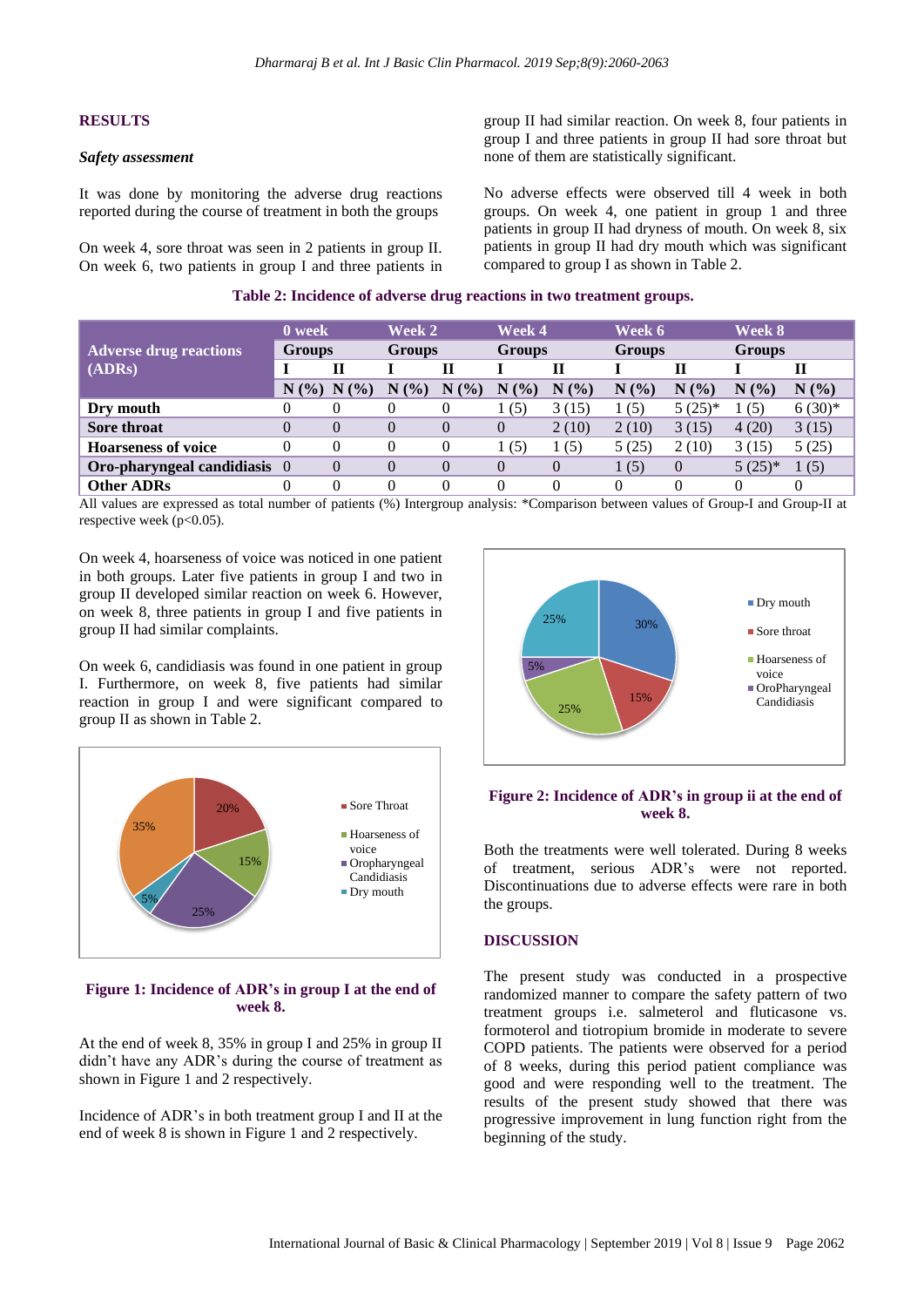#### **RESULTS**

#### *Safety assessment*

It was done by monitoring the adverse drug reactions reported during the course of treatment in both the groups

On week 4, sore throat was seen in 2 patients in group II. On week 6, two patients in group I and three patients in group II had similar reaction. On week 8, four patients in group I and three patients in group II had sore throat but none of them are statistically significant.

No adverse effects were observed till 4 week in both groups. On week 4, one patient in group 1 and three patients in group II had dryness of mouth. On week 8, six patients in group II had dry mouth which was significant compared to group I as shown in Table 2.

|                               | 0 week        |                 | Week 2        |            | Week 4        |          | Week 6        |                | Week 8        |          |
|-------------------------------|---------------|-----------------|---------------|------------|---------------|----------|---------------|----------------|---------------|----------|
| <b>Adverse drug reactions</b> | <b>Groups</b> |                 | <b>Groups</b> |            | <b>Groups</b> |          | <b>Groups</b> |                | <b>Groups</b> |          |
| (ADRs)                        |               |                 |               |            |               | Н        |               | П              |               |          |
|                               |               | $N$ (%) $N$ (%) | N(%           | (9/0)<br>N | N(%           | N<br>(%) | N(%)          | N(%)           | N(%           | N(%)     |
| Dry mouth                     |               |                 | 0             |            | (5)           | 3(15)    | (5)           | $5(25)*$       | (5)           | $6(30)*$ |
| Sore throat                   |               |                 | 0             | $\theta$   | $\theta$      | 2(10)    | 2(10)         | 3(15)          | 4(20)         | 3(15)    |
| <b>Hoarseness of voice</b>    |               |                 | 0             |            | (5)           | 1(5)     | 5(25)         | 2(10)          | 3(15)         | 5(25)    |
| Oro-pharyngeal candidiasis 0  |               | $\Omega$        | 0             |            |               | $\theta$ | 1(5)          | $\overline{0}$ | $5(25)*$      | 1(5)     |
| <b>Other ADRs</b>             |               |                 | 0             |            |               |          |               |                | 0             |          |

All values are expressed as total number of patients (%) Intergroup analysis: \*Comparison between values of Group-I and Group-II at respective week  $(p<0.05)$ .

On week 4, hoarseness of voice was noticed in one patient in both groups. Later five patients in group I and two in group II developed similar reaction on week 6. However, on week 8, three patients in group I and five patients in group II had similar complaints.

On week 6, candidiasis was found in one patient in group I. Furthermore, on week 8, five patients had similar reaction in group I and were significant compared to group II as shown in Table 2.



#### **Figure 1: Incidence of ADR's in group I at the end of week 8.**

At the end of week 8, 35% in group I and 25% in group II didn't have any ADR's during the course of treatment as shown in Figure 1 and 2 respectively.

Incidence of ADR's in both treatment group I and II at the end of week 8 is shown in Figure 1 and 2 respectively.



## **Figure 2: Incidence of ADR's in group ii at the end of week 8.**

Both the treatments were well tolerated. During 8 weeks of treatment, serious ADR's were not reported. Discontinuations due to adverse effects were rare in both the groups.

#### **DISCUSSION**

The present study was conducted in a prospective randomized manner to compare the safety pattern of two treatment groups i.e. salmeterol and fluticasone vs. formoterol and tiotropium bromide in moderate to severe COPD patients. The patients were observed for a period of 8 weeks, during this period patient compliance was good and were responding well to the treatment. The results of the present study showed that there was progressive improvement in lung function right from the beginning of the study.